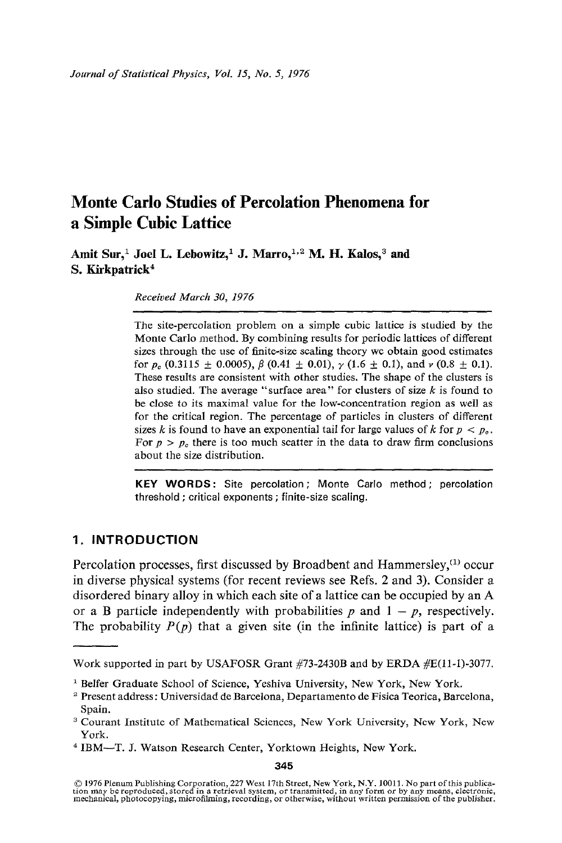Amit Sur,<sup>1</sup> Joel L. Lebowitz,<sup>1</sup> J. Marro,<sup>1,2</sup> M. H. Kalos,<sup>3</sup> and **S. Kirkpatrick ~** 

*Received March 30, 1976* 

The site-percolation problem on a simple cubic lattice is studied by the Monte Carlo method. By combining results for periodic lattices of different sizes through the use of finite-size scaling theory we obtain good estimates for  $p_c$  (0.3115  $\pm$  0.0005),  $\beta$  (0.41  $\pm$  0.01),  $\gamma$  (1.6  $\pm$  0.1), and  $\nu$  (0.8  $\pm$  0.1). These results are consistent with other studies. The shape of the clusters is also studied. The average "surface area" for clusters of size  $k$  is found to be close to its maximal value for the low-concentration region as well as for the critical region. The percentage of particles in clusters of different sizes k is found to have an exponential tail for large values of k for  $p < p_c$ . For  $p > p_c$  there is too much scatter in the data to draw firm conclusions about the size distribution.

**KEY WORDS:** Site percolation; Monte Carlo method; percolation threshold ; critical exponents ; finite-size scaling.

## **1. INTRODUCTION**

Percolation processes, first discussed by Broadbent and Hammersley, $(1)$  occur in diverse physical systems (for recent reviews see Refs. 2 and 3). Consider a disordered binary alloy in which each site of a lattice can be occupied by an A or a B particle independently with probabilities  $p$  and  $1 - p$ , respectively. The probability  $P(p)$  that a given site (in the infinite lattice) is part of a

345

Work supported in part by USAFOSR Grant #73-2430B and by ERDA #E(11-1)-3077.

<sup>&</sup>lt;sup>1</sup> Belfer Graduate School of Science, Yeshiva University, New York, New York.

Present address: Universidad de Barcelona, Departamento de Fisica Teorica, Barcelona, Spain.

<sup>&</sup>lt;sup>3</sup> Courant Institute of Mathematical Sciences, New York University, New York, New York.

<sup>&</sup>lt;sup>4</sup> IBM-T. J. Watson Research Center, Yorktown Heights, New York.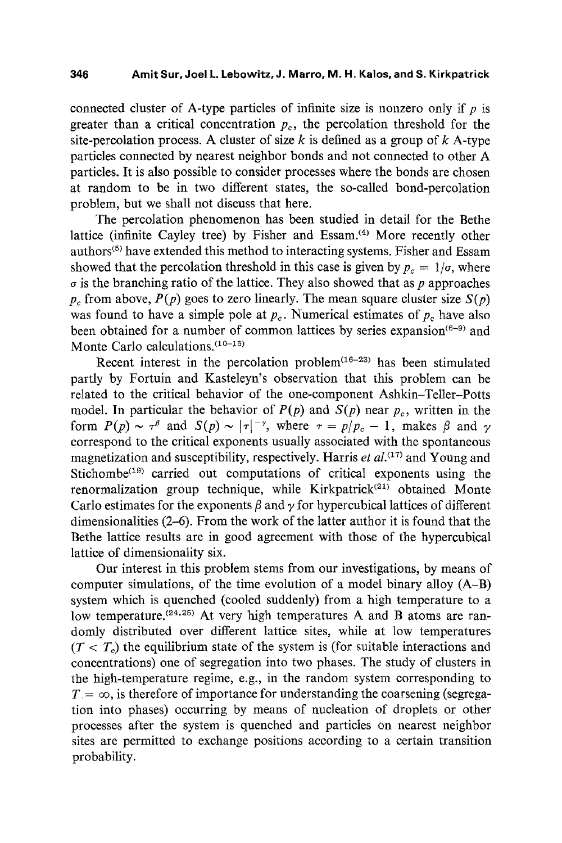connected cluster of A-type particles of infinite size is nonzero only if  $p$  is greater than a critical concentration  $p_c$ , the percolation threshold for the site-percolation process. A cluster of size k is defined as a group of  $k$  A-type particles connected by nearest neighbor bonds and not connected to other A particles. It is also possible to consider processes where the bonds are chosen at random to be in two different states, the so-called bond-percolation problem, but we shall not discuss that here.

The percolation phenomenon has been studied in detail for the Bethe lattice (infinite Cayley tree) by Fisher and Essam. $(4)$  More recently other authors<sup>(5)</sup> have extended this method to interacting systems. Fisher and Essam showed that the percolation threshold in this case is given by  $p_c = 1/\sigma$ , where  $\sigma$  is the branching ratio of the lattice. They also showed that as p approaches  $p_c$  from above,  $P(p)$  goes to zero linearly. The mean square cluster size  $S(p)$ was found to have a simple pole at  $p_c$ . Numerical estimates of  $p_c$  have also been obtained for a number of common lattices by series expansion<sup> $(6-9)$ </sup> and Monte Carlo calculations.  $(10-15)$ 

Recent interest in the percolation problem $(16-23)$  has been stimulated partly by Fortuin and Kasteleyn's observation that this problem can be related to the critical behavior of the one-component Ashkin-Teller-Potts model. In particular the behavior of  $P(p)$  and  $S(p)$  near  $p_c$ , written in the form  $P(p) \sim \tau^{\beta}$  and  $S(p) \sim |\tau|^{-\gamma}$ , where  $\tau = p/p_c - 1$ , makes  $\beta$  and  $\gamma$ correspond to the critical exponents usually associated with the spontaneous magnetization and susceptibility, respectively. Harris *et al. (17~* and Young and Stichombe $(19)$  carried out computations of critical exponents using the renormalization group technique, while Kirkpatrick<sup>(21)</sup> obtained Monte Carlo estimates for the exponents  $\beta$  and  $\gamma$  for hypercubical lattices of different dimensionalities (2-6). From the work of the latter author it is found that the Bethe lattice results are in good agreement with those of the hypercubical lattice of dimensionality six.

Our interest in this problem stems from our investigations, by means of computer simulations, of the time evolution of a model binary alloy  $(A-B)$ system which is quenched (cooled suddenly) from a high temperature to a low temperature.  $(24,25)$  At very high temperatures A and B atoms are randomly distributed over different lattice sites, while at low temperatures  $(T < T<sub>c</sub>)$  the equilibrium state of the system is (for suitable interactions and concentrations) one of segregation into two phases. The study of clusters in the high-temperature regime, e.g., in the random system corresponding to  $T = \infty$ , is therefore of importance for understanding the coarsening (segregation into phases) occurring by means of nucleation of droplets or other processes after the system is quenched and particles on nearest neighbor sites are permitted to exchange positions according to a certain transition probability.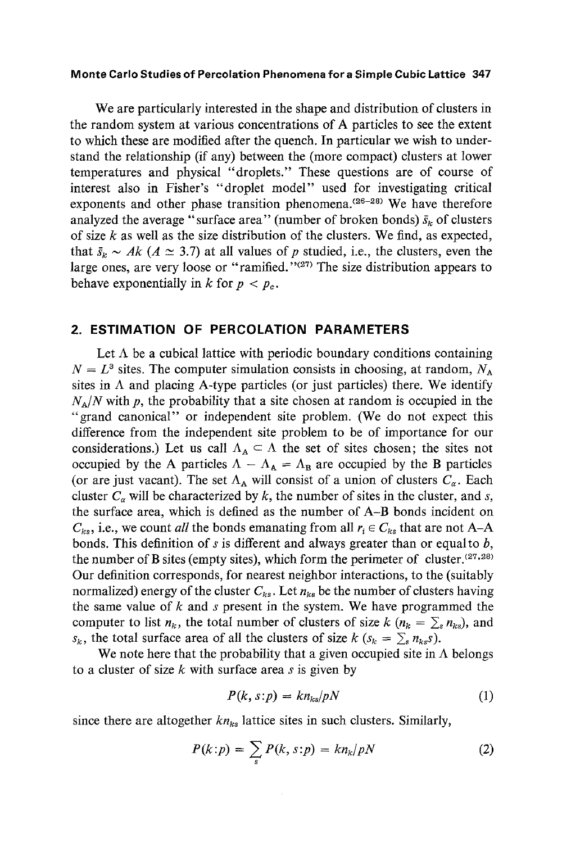We are particularly interested in the shape and distribution of clusters in the random system at various concentrations of A particles to see the extent to which these are modified after the quench. In particular we wish to understand the relationship (if any) between the (more compact) clusters at lower temperatures and physical "droplets." These questions are of course of interest also in Fisher's "droplet model" used for investigating critical exponents and other phase transition phenomena.  $(26-28)$  We have therefore analyzed the average "surface area" (number of broken bonds)  $\bar{s}_k$  of clusters of size  $k$  as well as the size distribution of the clusters. We find, as expected, that  $\bar{s}_k \sim Ak$  ( $A \simeq 3.7$ ) at all values of p studied, i.e., the clusters, even the large ones, are very loose or "ramified."<sup>(27)</sup> The size distribution appears to behave exponentially in k for  $p < p_c$ .

## **2. ESTIMATION OF PERCOLATION PARAMETERS**

Let  $\Lambda$  be a cubical lattice with periodic boundary conditions containing  $N = L<sup>3</sup>$  sites. The computer simulation consists in choosing, at random,  $N<sub>A</sub>$ sites in  $\Lambda$  and placing A-type particles (or just particles) there. We identify  $N_A/N$  with p, the probability that a site chosen at random is occupied in the "grand canonical" or independent site problem. (We do not expect this difference from the independent site problem to be of importance for our considerations.) Let us call  $\Lambda_A \subset \Lambda$  the set of sites chosen; the sites not occupied by the A particles  $\Lambda - \Lambda_A = \Lambda_B$  are occupied by the B particles (or are just vacant). The set  $\Lambda_A$  will consist of a union of clusters  $C_\alpha$ . Each cluster  $C_{\alpha}$  will be characterized by k, the number of sites in the cluster, and s, the surface area, which is defined as the number of A-B bonds incident on  $C_{ks}$ , i.e., we count *all* the bonds emanating from all  $r_i \in C_{ks}$  that are not A-A bonds. This definition of  $s$  is different and always greater than or equal to  $b$ , the number of B sites (empty sites), which form the perimeter of cluster.  $(27,28)$ Our definition corresponds, for nearest neighbor interactions, to the (suitably normalized) energy of the cluster  $C_{ks}$ . Let  $n_{ks}$  be the number of clusters having the same value of  $k$  and  $s$  present in the system. We have programmed the computer to list  $n_k$ , the total number of clusters of size  $k$  ( $n_k = \sum_{s} n_{ks}$ ), and  $s_k$ , the total surface area of all the clusters of size  $k$  ( $s_k = \sum_{s} n_{ks}$ s).

We note here that the probability that a given occupied site in  $\Lambda$  belongs to a cluster of size  $k$  with surface area  $s$  is given by

$$
P(k, s: p) = kn_{ks}/pN \tag{1}
$$

since there are altogether  $kn_{ks}$  lattice sites in such clusters. Similarly,

$$
P(k:p) = \sum_{s} P(k,s:p) = kn_k/pN \tag{2}
$$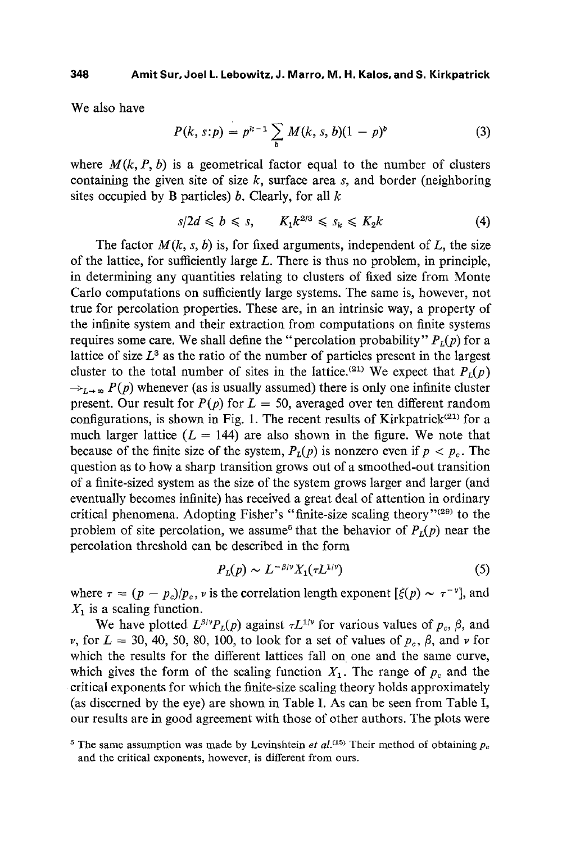We also have

$$
P(k, s: p) = p^{k-1} \sum_{b} M(k, s, b)(1 - p)^{b}
$$
 (3)

where  $M(k, P, b)$  is a geometrical factor equal to the number of clusters containing the given site of size  $k$ , surface area  $s$ , and border (neighboring sites occupied by B particles)  $b$ . Clearly, for all  $k$ 

$$
s/2d \leq b \leq s, \qquad K_1 k^{2/3} \leq s_k \leq K_2 k \tag{4}
$$

The factor  $M(k, s, b)$  is, for fixed arguments, independent of  $L$ , the size of the lattice, for sufficiently large  $L$ . There is thus no problem, in principle, in determining any quantities relating to clusters of fixed size from Monte Carlo computations on sufficiently large systems. The same is, however, not true for percolation properties. These are, in an intrinsic way, a property of the infinite system and their extraction from computations on finite systems requires some care. We shall define the "percolation probability"  $P_L(p)$  for a lattice of size  $L^3$  as the ratio of the number of particles present in the largest cluster to the total number of sites in the lattice.<sup>(21)</sup> We expect that  $P<sub>L</sub>(p)$  $\rightarrow_{L\rightarrow\infty} P(p)$  whenever (as is usually assumed) there is only one infinite cluster present. Our result for  $P(p)$  for  $L = 50$ , averaged over ten different random configurations, is shown in Fig. 1. The recent results of Kirkpatrick<sup>(21)</sup> for a much larger lattice  $(L = 144)$  are also shown in the figure. We note that because of the finite size of the system,  $P_L(p)$  is nonzero even if  $p < p_c$ . The question as to how a sharp transition grows out of a smoothed-out transition of a finite-sized system as the size of the system grows larger and larger (and eventually becomes infinite) has received a great deal of attention in ordinary critical phenomena. Adopting Fisher's "finite-size scaling theory"<sup>(29)</sup> to the problem of site percolation, we assume<sup>5</sup> that the behavior of  $P<sub>1</sub>(p)$  near the percolation threshold can be described in the form

$$
P_L(p) \sim L^{-\beta/\nu} X_1(\tau L^{1/\nu}) \tag{5}
$$

where  $\tau = (p - p_c)/p_c$ , *v* is the correlation length exponent  $[\xi(p) \sim \tau^{-\nu}]$ , and  $X_1$  is a scaling function.

We have plotted  $L^{\beta/\gamma}P_L(p)$  against  $\tau L^{1/\gamma}$  for various values of  $p_c$ ,  $\beta$ , and  $\nu$ , for  $L = 30, 40, 50, 80, 100,$  to look for a set of values of  $p_c$ ,  $\beta$ , and  $\nu$  for which the results for the different lattices fall on one and the same curve, which gives the form of the scaling function  $X_1$ . The range of  $p_c$  and the 9 critical exponents for which the finite-size scaling theory holds approximately (as discerned by the eye) are shown in Table I. As can be seen from Table I, our results are in good agreement with those of other authors. The plots were

<sup>&</sup>lt;sup>5</sup> The same assumption was made by Levinshtein *et al.*<sup>(15)</sup> Their method of obtaining  $p_c$ and the critical exponents, however, is different from ours.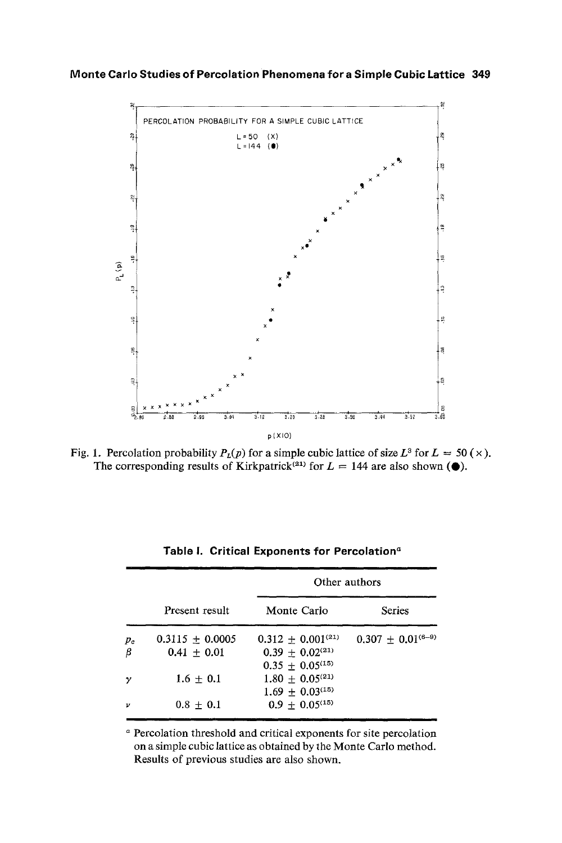

Fig. 1. Percolation probability  $P_L(p)$  for a simple cubic lattice of size  $L^3$  for  $L = 50 \times$ ). The corresponding results of Kirkpatrick<sup>(21)</sup> for  $L = 144$  are also shown ( $\bullet$ ).

|       |                     |                                 | Other authors            |
|-------|---------------------|---------------------------------|--------------------------|
|       | Present result      | Monte Carlo                     | <b>Series</b>            |
| $p_c$ | $0.3115 \pm 0.0005$ | $0.312 + 0.001^{(21)}$          | $0.307 \pm 0.01^{(6-9)}$ |
| β     | $0.41 + 0.01$       | $0.39 + 0.02^{(21)}$            |                          |
|       |                     | $0.35 \pm 0.05^{(15)}$          |                          |
| γ     | $1.6 \pm 0.1$       | $1.80 \pm 0.05^{(21)}$          |                          |
|       |                     | $1.69 \pm 0.03$ <sup>(15)</sup> |                          |
| ν     | $0.8 \pm 0.1$       | $0.9 \pm 0.05^{(15)}$           |                          |

Table I. Critical Exponents for Percolation<sup>a</sup>

**a Percolation threshold and critical exponents for site percolation on a simple cubic lattice as obtained by the Monte Carlo method. Results of previous studies are also shown.**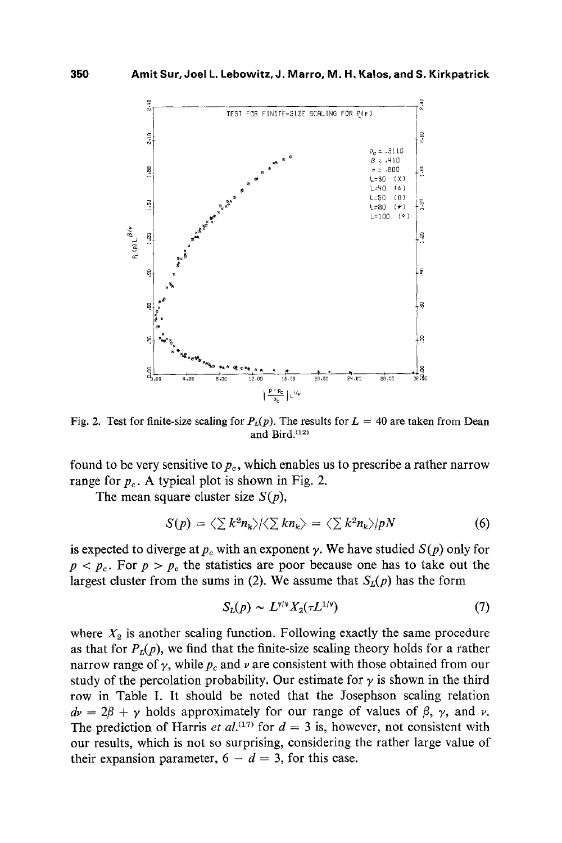

Fig. 2. Test for finite-size scaling for  $P_L(p)$ . The results for  $L = 40$  are taken from Dean and Bird.<sup>(12)</sup>

found to be very sensitive to  $p_c$ , which enables us to prescribe a rather narrow range for  $p_c$ . A typical plot is shown in Fig. 2.

The mean square cluster size  $S(p)$ ,

$$
S(p) = \langle \sum k^2 n_k \rangle / \langle \sum k n_k \rangle = \langle \sum k^2 n_k \rangle / pN \tag{6}
$$

is expected to diverge at  $p_c$  with an exponent  $\gamma$ . We have studied  $S(p)$  only for  $p < p_c$ . For  $p > p_c$  the statistics are poor because one has to take out the largest cluster from the sums in (2). We assume that  $S_L(p)$  has the form

$$
S_L(p) \sim L^{\gamma/\nu} X_2(\tau L^{1/\nu}) \tag{7}
$$

where  $X_2$  is another scaling function. Following exactly the same procedure as that for  $P_L(p)$ , we find that the finite-size scaling theory holds for a rather narrow range of  $\gamma$ , while  $p_c$  and  $\nu$  are consistent with those obtained from our study of the percolation probability. Our estimate for  $\gamma$  is shown in the third row in Table I. It should be noted that the Josephson scaling relation  $dv = 2\beta + \gamma$  holds approximately for our range of values of  $\beta$ ,  $\gamma$ , and v. The prediction of Harris *et al.*<sup>(17)</sup> for  $d = 3$  is, however, not consistent with our results, which is not so surprising, considering the rather large value of their expansion parameter,  $6 - d = 3$ , for this case.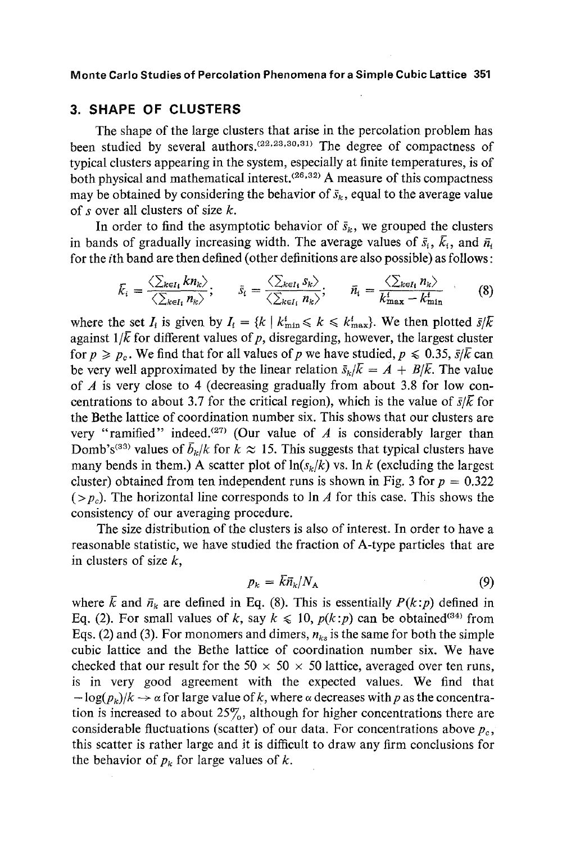## **3. SHAPE OF CLUSTERS**

The shape of the large clusters that arise in the percolation problem has been studied by several authors.  $(22, 23, 30, 31)$  The degree of compactness of typical clusters appearing in the system, especially at finite temperatures, is of both physical and mathematical interest.<sup>(26,32)</sup> A measure of this compactness may be obtained by considering the behavior of  $\bar{s}_k$ , equal to the average value of s over all clusters of size  $k$ .

In order to find the asymptotic behavior of  $\bar{s}_k$ , we grouped the clusters in bands of gradually increasing width. The average values of  $\bar{s}_i$ ,  $\bar{k}_i$ , and  $\bar{n}_i$ for the ith band are then defined (other definitions are also possible) as follows:

$$
\bar{k}_i = \frac{\langle \sum_{k \in I_i} k n_k \rangle}{\langle \sum_{k \in I_i} n_k \rangle}; \qquad \bar{s}_i = \frac{\langle \sum_{k \in I_i} s_k \rangle}{\langle \sum_{k \in I_i} n_k \rangle}; \qquad \bar{n}_i = \frac{\langle \sum_{k \in I_i} n_k \rangle}{k_{\max}^i - k_{\min}^i} \qquad (8)
$$

where the set  $I_i$  is given by  $I_i = \{k \mid k_{\min}^i \leq k \leq k_{\max}^i\}$ . We then plotted  $\bar{s}/\bar{k}$ against  $1/\bar{k}$  for different values of p, disregarding, however, the largest cluster for  $p \geq p_c$ . We find that for all values of p we have studied,  $p \leq 0.35$ ,  $\bar{s}/\bar{k}$  can be very well approximated by the linear relation  $\bar{s}_k/\bar{k} = A + B/\bar{k}$ . The value of  $A$  is very close to 4 (decreasing gradually from about 3.8 for low concentrations to about 3.7 for the critical region), which is the value of  $\bar{s}/\bar{k}$  for the Bethe lattice of coordination number six. This shows that our clusters are very "ramified" indeed.<sup>(27)</sup> (Our value of A is considerably larger than Domb's<sup>(33)</sup> values of  $\bar{b}_k/k$  for  $k \approx 15$ . This suggests that typical clusters have many bends in them.) A scatter plot of  $ln(s_k/k)$  vs. In k (excluding the largest cluster) obtained from ten independent runs is shown in Fig. 3 for  $p = 0.322$  $(>p_c)$ . The horizontal line corresponds to ln A for this case. This shows the consistency of our averaging procedure.

The size distribution of the clusters is also of interest. In order to have a reasonable statistic, we have studied the fraction of A-type particles that are in clusters of size  $k$ ,

$$
p_k = \bar{k}\bar{n}_k/N_A \tag{9}
$$

where  $\bar{k}$  and  $\bar{n}_k$  are defined in Eq. (8). This is essentially  $P(k:p)$  defined in Eq. (2). For small values of k, say  $k \le 10$ ,  $p(k:p)$  can be obtained<sup>(34)</sup> from Eqs. (2) and (3). For monomers and dimers,  $n_{ks}$  is the same for both the simple cubic lattice and the Bethe lattice of coordination number six. We have checked that our result for the 50  $\times$  50  $\times$  50 lattice, averaged over ten runs, is in very good agreement with the expected values. We find that  $-\log(p_k)/k \to \alpha$  for large value of k, where  $\alpha$  decreases with p as the concentration is increased to about  $25\%$ , although for higher concentrations there are considerable fluctuations (scatter) of our data. For concentrations above  $p_c$ , this scatter is rather large and it is difficult to draw any firm conclusions for the behavior of  $p_k$  for large values of k.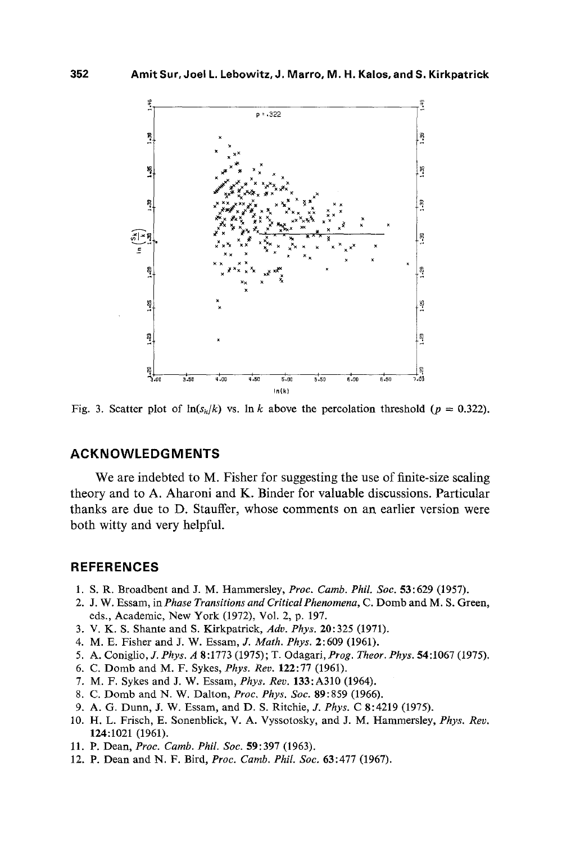

Fig. 3. Scatter plot of  $ln(s_k/k)$  vs.  $ln k$  above the percolation threshold ( $p = 0.322$ ).

## **ACKNOWLEDGMENTS**

We are indebted to M. Fisher for suggesting the use of finite-size scaling theory and to A. Aharoni and K. Binder for valuable discussions. Particular thanks are due to D. Stauffer, whose comments on an earlier version were both witty and very helpful.

### **REFERENCES**

- 1. S. R. Broadbent and J. M. Hammersley, *Proc. Camb. Phil. Soc.* 53:629 (1957).
- 2. J. W. Essam, in *Phase Transitions and Critical Phenomena*, C. Domb and M. S. Green, eds., Academic, New York (1972), Vol. 2, p. 197.
- 3. V. K. S. Shante and S. Kirkpatrick, *Adv. Phys.* 20:325 (1971).
- 4. M. E. Fisher and J. W. Essarn, *J. Math. Phys.* 2:609 (1961).
- 5. A. Coniglio, *J. Phys. A* 8:1773 (1975); T. Odagari, *Prog. Theor. Phys.* 54:1067 (1975).
- 6. C. Domb and M. F. Sykes, *Phys. Rev.* 122:77 (1961).
- 7. M. F. Sykes and J. W. Essarn, *Phys. Rev.* 133:A310 (1964).
- 8. C. Domb and N. W. Dalton, *Proc. Phys. Soc.* 89:859 (1966).
- 9. A. G. Dunn, J. W. Essarn, and D. S. Ritchie, *J. Phys.* C 8:4219 (1975).
- 10. H. L. Frisch, E. Sonenblick, V. A. Vyssotosky, and J. M. Hammersley, *Phys. Rev.* 124:1021 (1961).
- 11. P. Dean, *Proc. Camb. Phil. Soc.* 59:397 (1963).
- 12. P. Dean and N. F. Bird, *Proc. Camb. Phil. Soc.* 63:477 (1967).